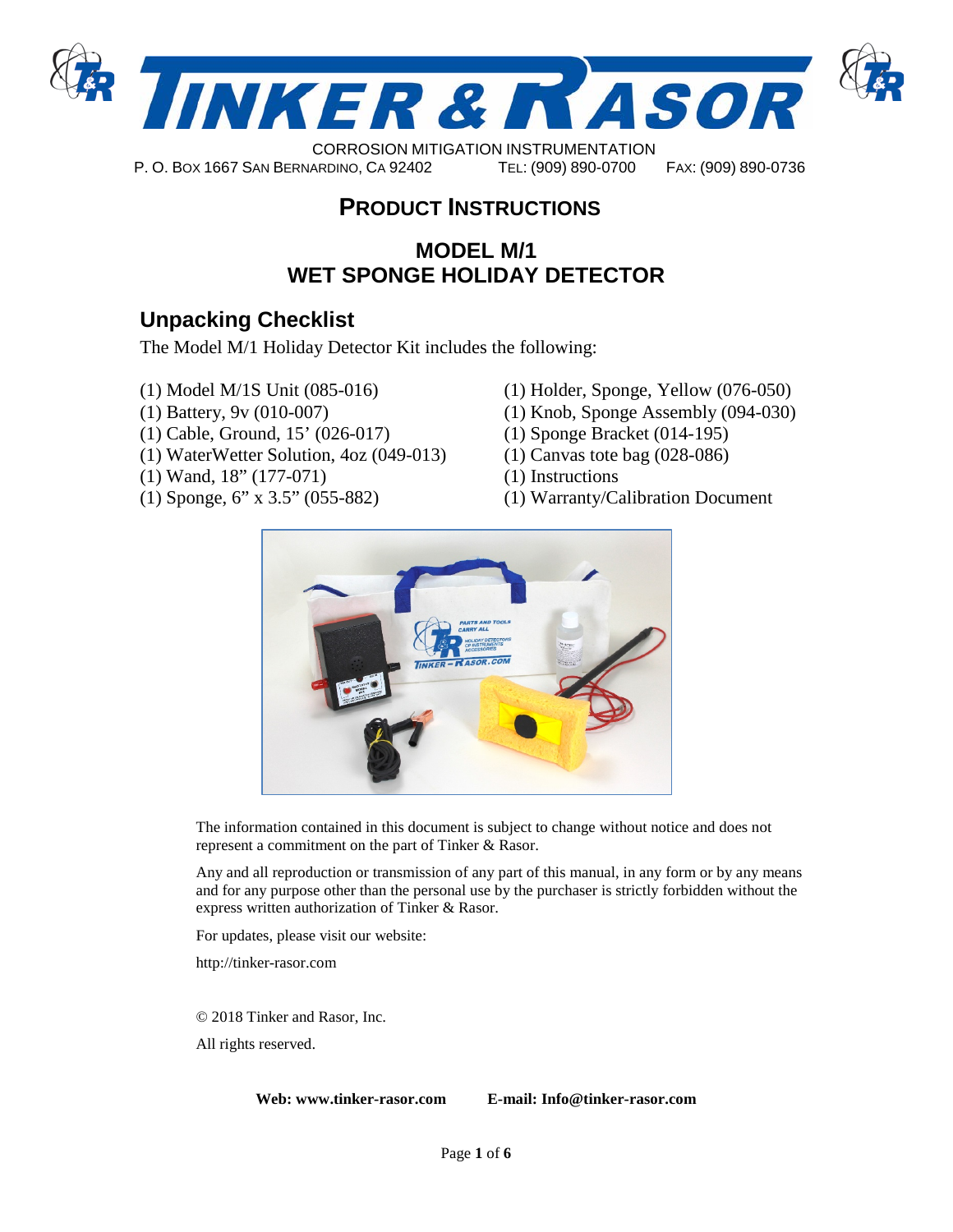

# P. O. BOX 1667 SAN BERNARDINO, CA 92402 TEL: (909) 890-0700 FAX: (909) 890-0736

# **PRODUCT INSTRUCTIONS**

## **MODEL M/1 WET SPONGE HOLIDAY DETECTOR**

# **Unpacking Checklist**

The Model M/1 Holiday Detector Kit includes the following:

- (1) Model M/1S Unit (085-016)
- (1) Battery, 9v (010-007)
- (1) Cable, Ground, 15' (026-017)
- (1) WaterWetter Solution, 4oz (049-013)
- (1) Wand, 18" (177-071)
- (1) Sponge, 6" x 3.5" (055-882)
- (1) Holder, Sponge, Yellow (076-050)
- (1) Knob, Sponge Assembly (094-030)
- (1) Sponge Bracket (014-195)
- (1) Canvas tote bag (028-086)
- (1) Instructions
- (1) Warranty/Calibration Document



The information contained in this document is subject to change without notice and does not represent a commitment on the part of Tinker & Rasor.

Any and all reproduction or transmission of any part of this manual, in any form or by any means and for any purpose other than the personal use by the purchaser is strictly forbidden without the express written authorization of Tinker & Rasor.

For updates, please visit our website:

http://tinker-rasor.com

© 2018 Tinker and Rasor, Inc.

All rights reserved.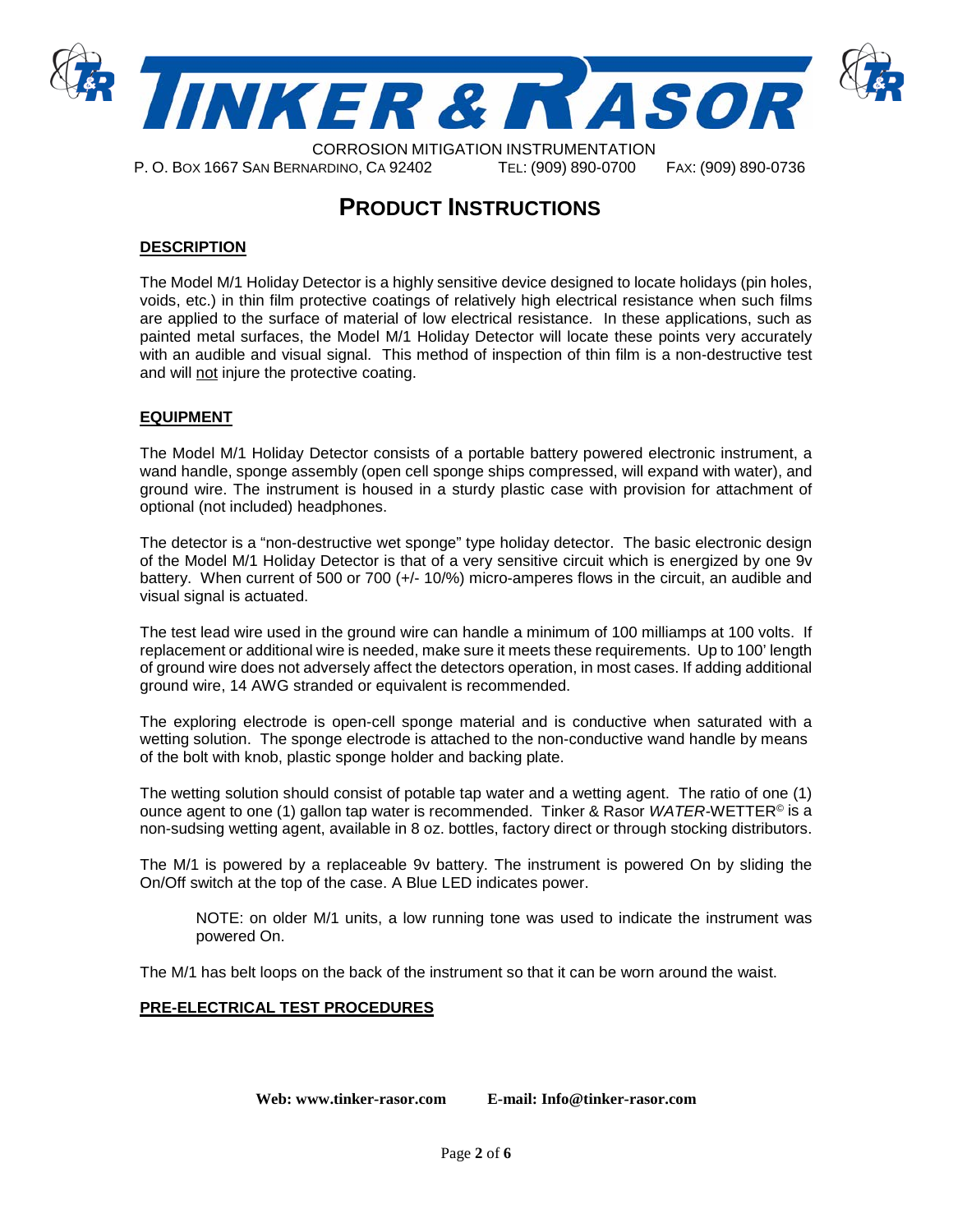

P. O. BOX 1667 SAN BERNARDINO, CA 92402 TEL: (909) 890-0700 FAX: (909) 890-0736

## **PRODUCT INSTRUCTIONS**

## **DESCRIPTION**

The Model M/1 Holiday Detector is a highly sensitive device designed to locate holidays (pin holes, voids, etc.) in thin film protective coatings of relatively high electrical resistance when such films are applied to the surface of material of low electrical resistance. In these applications, such as painted metal surfaces, the Model M/1 Holiday Detector will locate these points very accurately with an audible and visual signal. This method of inspection of thin film is a non-destructive test and will not injure the protective coating.

## **EQUIPMENT**

The Model M/1 Holiday Detector consists of a portable battery powered electronic instrument, a wand handle, sponge assembly (open cell sponge ships compressed, will expand with water), and ground wire. The instrument is housed in a sturdy plastic case with provision for attachment of optional (not included) headphones.

The detector is a "non-destructive wet sponge" type holiday detector. The basic electronic design of the Model M/1 Holiday Detector is that of a very sensitive circuit which is energized by one 9v battery. When current of 500 or 700 (+/- 10/%) micro-amperes flows in the circuit, an audible and visual signal is actuated.

The test lead wire used in the ground wire can handle a minimum of 100 milliamps at 100 volts. If replacement or additional wire is needed, make sure it meets these requirements. Up to 100' length of ground wire does not adversely affect the detectors operation, in most cases. If adding additional ground wire, 14 AWG stranded or equivalent is recommended.

The exploring electrode is open-cell sponge material and is conductive when saturated with a wetting solution. The sponge electrode is attached to the non-conductive wand handle by means of the bolt with knob, plastic sponge holder and backing plate.

The wetting solution should consist of potable tap water and a wetting agent. The ratio of one (1) ounce agent to one (1) gallon tap water is recommended. Tinker & Rasor *WATER-*WETTER© is a non-sudsing wetting agent, available in 8 oz. bottles, factory direct or through stocking distributors.

The M/1 is powered by a replaceable 9v battery. The instrument is powered On by sliding the On/Off switch at the top of the case. A Blue LED indicates power.

NOTE: on older M/1 units, a low running tone was used to indicate the instrument was powered On.

The M/1 has belt loops on the back of the instrument so that it can be worn around the waist.

#### **PRE-ELECTRICAL TEST PROCEDURES**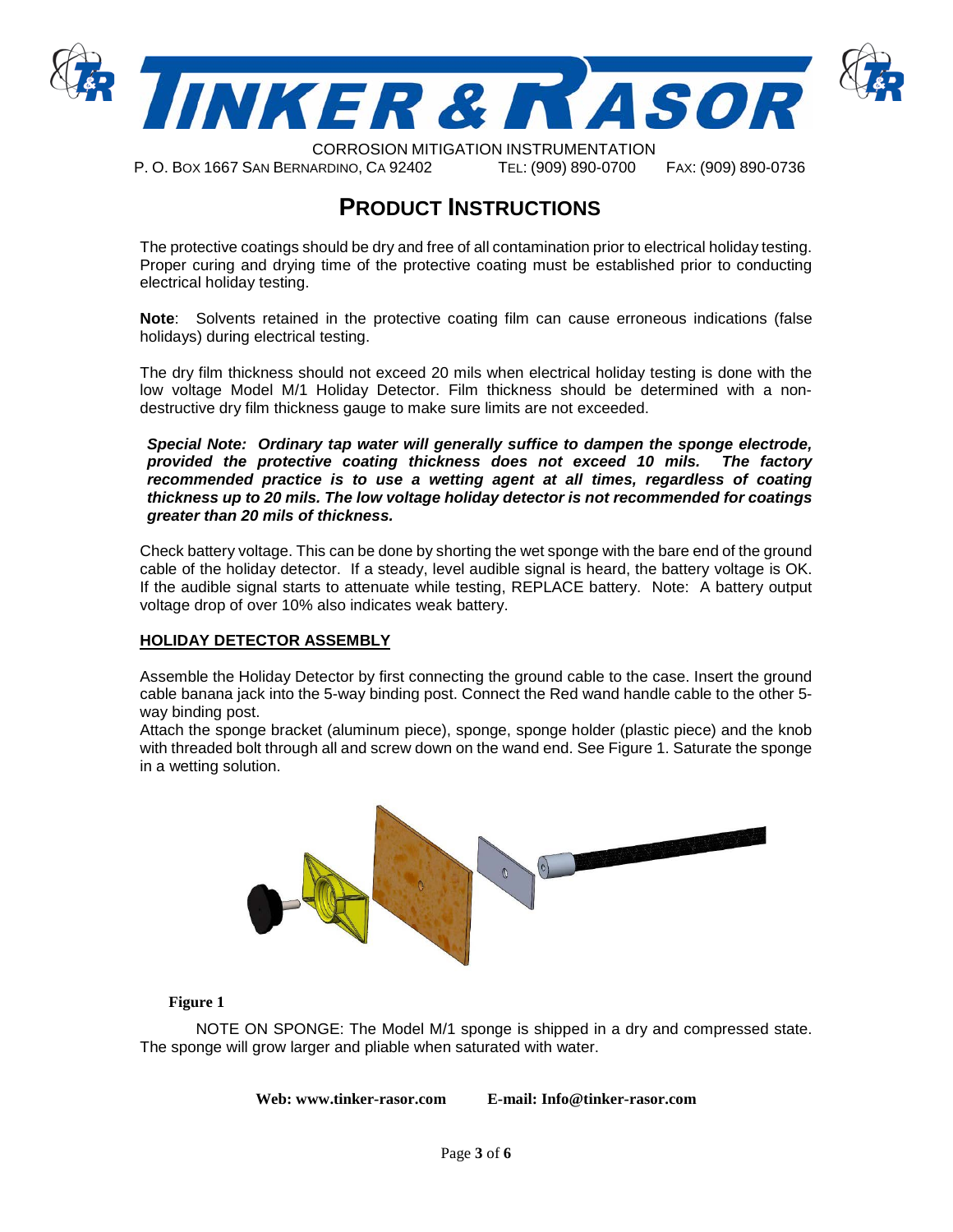

CORROSION MITIGATION INSTRUMENTATION

P. O. BOX 1667 SAN BERNARDINO, CA 92402 TEL: (909) 890-0700 FAX: (909) 890-0736

## **PRODUCT INSTRUCTIONS**

The protective coatings should be dry and free of all contamination prior to electrical holiday testing. Proper curing and drying time of the protective coating must be established prior to conducting electrical holiday testing.

**Note**: Solvents retained in the protective coating film can cause erroneous indications (false holidays) during electrical testing.

The dry film thickness should not exceed 20 mils when electrical holiday testing is done with the low voltage Model M/1 Holiday Detector. Film thickness should be determined with a nondestructive dry film thickness gauge to make sure limits are not exceeded.

*Special Note: Ordinary tap water will generally suffice to dampen the sponge electrode, provided the protective coating thickness does not exceed 10 mils. The factory recommended practice is to use a wetting agent at all times, regardless of coating thickness up to 20 mils. The low voltage holiday detector is not recommended for coatings greater than 20 mils of thickness.*

Check battery voltage. This can be done by shorting the wet sponge with the bare end of the ground cable of the holiday detector. If a steady, level audible signal is heard, the battery voltage is OK. If the audible signal starts to attenuate while testing, REPLACE battery. Note: A battery output voltage drop of over 10% also indicates weak battery.

#### **HOLIDAY DETECTOR ASSEMBLY**

Assemble the Holiday Detector by first connecting the ground cable to the case. Insert the ground cable banana jack into the 5-way binding post. Connect the Red wand handle cable to the other 5 way binding post.

Attach the sponge bracket (aluminum piece), sponge, sponge holder (plastic piece) and the knob with threaded bolt through all and screw down on the wand end. See Figure 1. Saturate the sponge in a wetting solution.



#### **Figure 1**

NOTE ON SPONGE: The Model M/1 sponge is shipped in a dry and compressed state. The sponge will grow larger and pliable when saturated with water.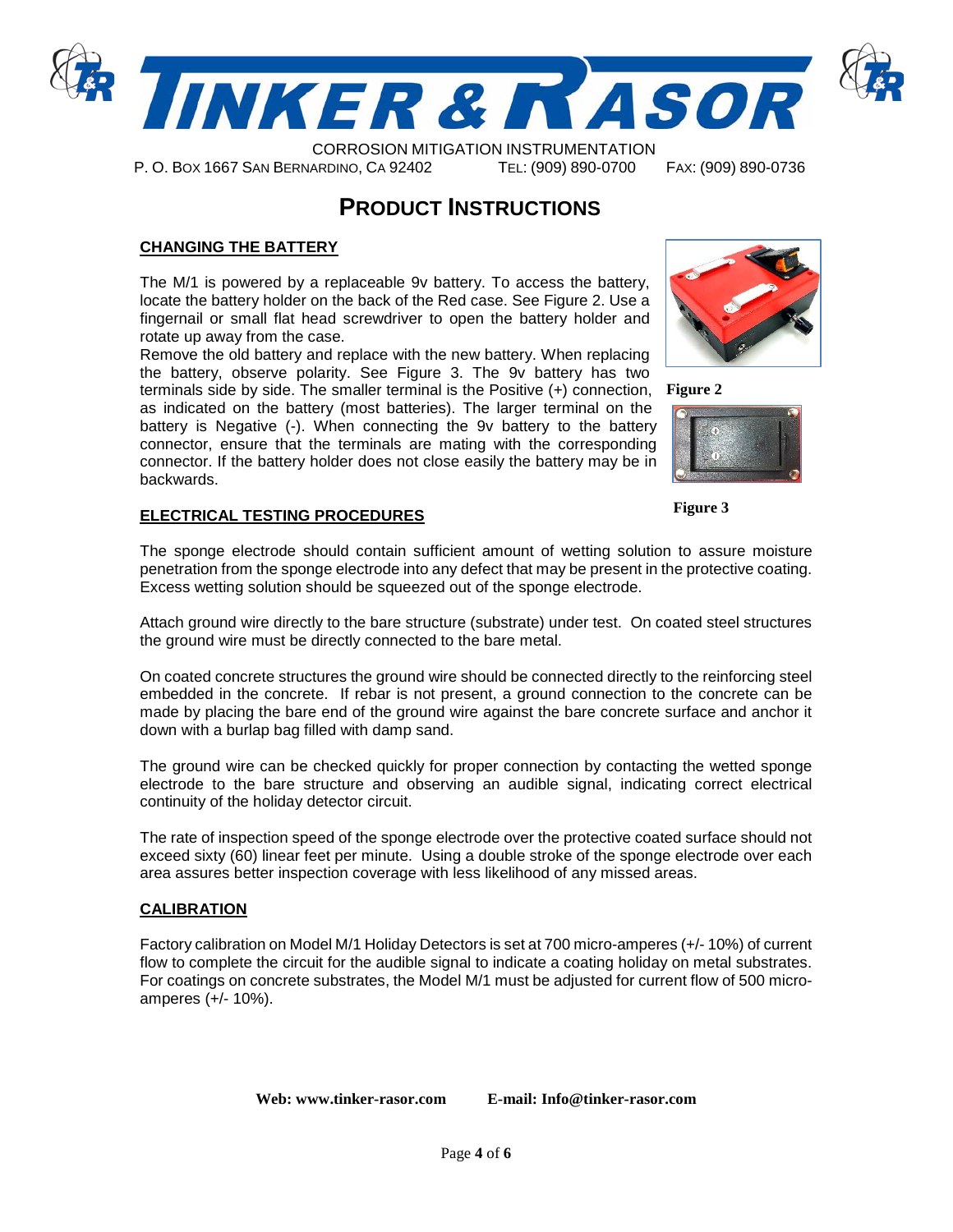

CORROSION MITIGATION INSTRUMENTATION P. O. BOX 1667 SAN BERNARDINO, CA 92402 TEL: (909) 890-0700 FAX: (909) 890-0736

## **PRODUCT INSTRUCTIONS**

## **CHANGING THE BATTERY**

The M/1 is powered by a replaceable 9v battery. To access the battery, locate the battery holder on the back of the Red case. See Figure 2. Use a fingernail or small flat head screwdriver to open the battery holder and rotate up away from the case.

Remove the old battery and replace with the new battery. When replacing the battery, observe polarity. See Figure 3. The 9v battery has two terminals side by side. The smaller terminal is the Positive (+) connection, **Figure 2** as indicated on the battery (most batteries). The larger terminal on the battery is Negative (-). When connecting the 9v battery to the battery connector, ensure that the terminals are mating with the corresponding connector. If the battery holder does not close easily the battery may be in backwards.

#### **ELECTRICAL TESTING PROCEDURES**

The sponge electrode should contain sufficient amount of wetting solution to assure moisture penetration from the sponge electrode into any defect that may be present in the protective coating. Excess wetting solution should be squeezed out of the sponge electrode.

Attach ground wire directly to the bare structure (substrate) under test. On coated steel structures the ground wire must be directly connected to the bare metal.

On coated concrete structures the ground wire should be connected directly to the reinforcing steel embedded in the concrete. If rebar is not present, a ground connection to the concrete can be made by placing the bare end of the ground wire against the bare concrete surface and anchor it down with a burlap bag filled with damp sand.

The ground wire can be checked quickly for proper connection by contacting the wetted sponge electrode to the bare structure and observing an audible signal, indicating correct electrical continuity of the holiday detector circuit.

The rate of inspection speed of the sponge electrode over the protective coated surface should not exceed sixty (60) linear feet per minute. Using a double stroke of the sponge electrode over each area assures better inspection coverage with less likelihood of any missed areas.

#### **CALIBRATION**

Factory calibration on Model M/1 Holiday Detectors is set at 700 micro-amperes (+/- 10%) of current flow to complete the circuit for the audible signal to indicate a coating holiday on metal substrates. For coatings on concrete substrates, the Model M/1 must be adjusted for current flow of 500 microamperes (+/- 10%).

**Web: www.tinker-rasor.com E-mail: Info@tinker-rasor.com**





**Figure 3**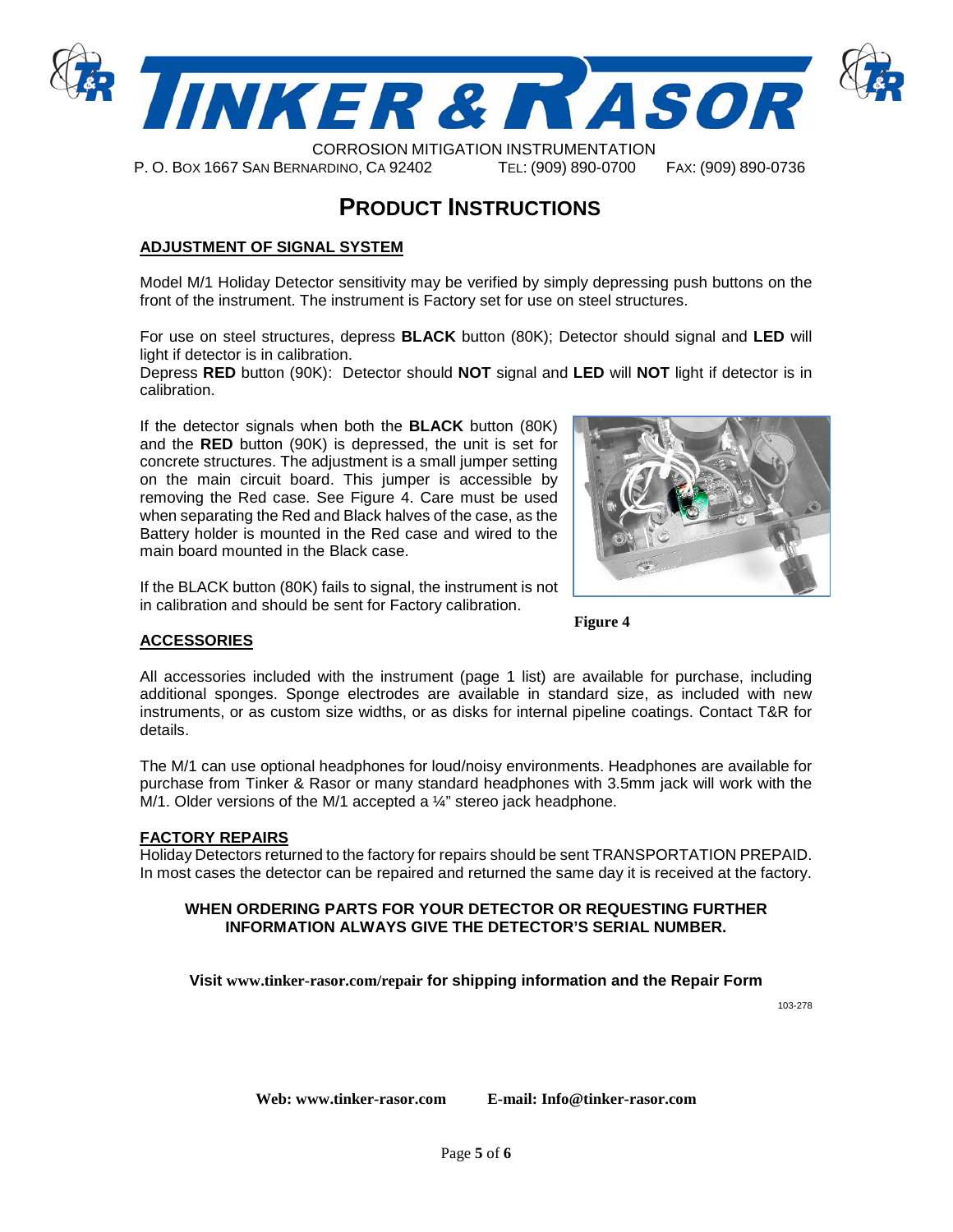

P. O. BOX 1667 SAN BERNARDINO, CA 92402 TEL: (909) 890-0700 FAX: (909) 890-0736

## **PRODUCT INSTRUCTIONS**

## **ADJUSTMENT OF SIGNAL SYSTEM**

Model M/1 Holiday Detector sensitivity may be verified by simply depressing push buttons on the front of the instrument. The instrument is Factory set for use on steel structures.

For use on steel structures, depress **BLACK** button (80K); Detector should signal and **LED** will light if detector is in calibration.

Depress **RED** button (90K): Detector should **NOT** signal and **LED** will **NOT** light if detector is in calibration.

If the detector signals when both the **BLACK** button (80K) and the **RED** button (90K) is depressed, the unit is set for concrete structures. The adjustment is a small jumper setting on the main circuit board. This jumper is accessible by removing the Red case. See Figure 4. Care must be used when separating the Red and Black halves of the case, as the Battery holder is mounted in the Red case and wired to the main board mounted in the Black case.

If the BLACK button (80K) fails to signal, the instrument is not in calibration and should be sent for Factory calibration.



**Figure 4**

All accessories included with the instrument (page 1 list) are available for purchase, including additional sponges. Sponge electrodes are available in standard size, as included with new instruments, or as custom size widths, or as disks for internal pipeline coatings. Contact T&R for details.

The M/1 can use optional headphones for loud/noisy environments. Headphones are available for purchase from Tinker & Rasor or many standard headphones with 3.5mm jack will work with the M/1. Older versions of the M/1 accepted a ¼" stereo jack headphone.

#### **FACTORY REPAIRS**

**ACCESSORIES**

Holiday Detectors returned to the factory for repairs should be sent TRANSPORTATION PREPAID. In most cases the detector can be repaired and returned the same day it is received at the factory.

#### **WHEN ORDERING PARTS FOR YOUR DETECTOR OR REQUESTING FURTHER INFORMATION ALWAYS GIVE THE DETECTOR'S SERIAL NUMBER.**

**Visit [www.tinker-rasor.com/repair](http://www.tinker-rasor.com/repair) for shipping information and the Repair Form** 

103-278